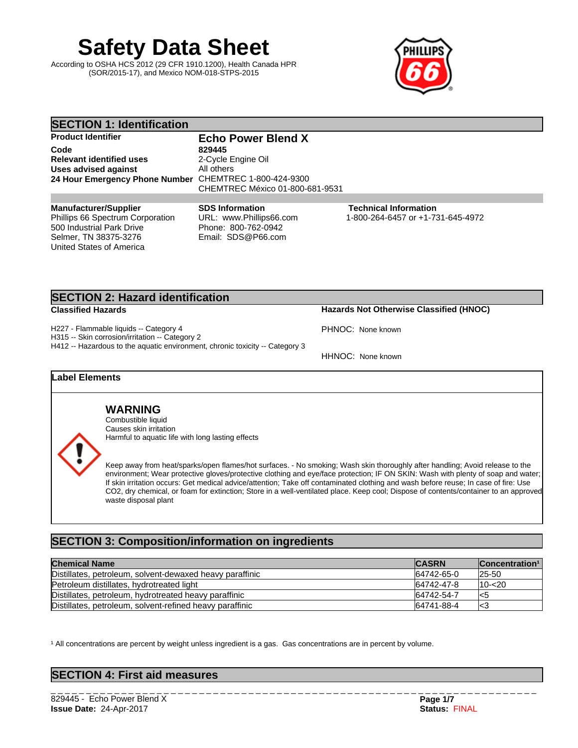# **Safety Data Sheet**

According to OSHA HCS 2012 (29 CFR 1910.1200), Health Canada HPR (SOR/2015-17), and Mexico NOM-018-STPS-2015



| <b>SECTION 1: Identification</b>                                                                                                                   |                                                                                                |                                                                   |  |  |
|----------------------------------------------------------------------------------------------------------------------------------------------------|------------------------------------------------------------------------------------------------|-------------------------------------------------------------------|--|--|
| <b>Product Identifier</b>                                                                                                                          | <b>Echo Power Blend X</b>                                                                      |                                                                   |  |  |
| Code<br><b>Relevant identified uses</b><br><b>Uses advised against</b><br>24 Hour Emergency Phone Number CHEMTREC 1-800-424-9300                   | 829445<br>2-Cycle Engine Oil<br>All others<br>CHEMTREC México 01-800-681-9531                  |                                                                   |  |  |
|                                                                                                                                                    |                                                                                                |                                                                   |  |  |
| <b>Manufacturer/Supplier</b><br>Phillips 66 Spectrum Corporation<br>500 Industrial Park Drive<br>Selmer, TN 38375-3276<br>United States of America | <b>SDS Information</b><br>URL: www.Phillips66.com<br>Phone: 800-762-0942<br>Email: SDS@P66.com | <b>Technical Information</b><br>1-800-264-6457 or +1-731-645-4972 |  |  |

# **SECTION 2: Hazard identification**

**Classified Hazards Hazards Not Otherwise Classified (HNOC)**

H227 - Flammable liquids -- Category 4

H315 -- Skin corrosion/irritation -- Category 2 H412 -- Hazardous to the aquatic environment, chronic toxicity -- Category 3

HHNOC: None known

PHNOC: None known

## **Label Elements**

**WARNING** Combustible liquid

Causes skin irritation Harmful to aquatic life with long lasting effects

Keep away from heat/sparks/open flames/hot surfaces. - No smoking; Wash skin thoroughly after handling; Avoid release to the environment; Wear protective gloves/protective clothing and eye/face protection; IF ON SKIN: Wash with plenty of soap and water; If skin irritation occurs: Get medical advice/attention; Take off contaminated clothing and wash before reuse; In case of fire: Use CO2, dry chemical, or foam for extinction; Store in a well-ventilated place. Keep cool; Dispose of contents/container to an approved waste disposal plant

# **SECTION 3: Composition/information on ingredients**

| <b>Chemical Name</b>                                     | <b>CASRN</b> | <b>Concentration</b> <sup>1</sup> |
|----------------------------------------------------------|--------------|-----------------------------------|
| Distillates, petroleum, solvent-dewaxed heavy paraffinic | 64742-65-0   | $ 25-50$                          |
| Petroleum distillates, hydrotreated light                | 64742-47-8   | $110 - 20$                        |
| Distillates, petroleum, hydrotreated heavy paraffinic    | 64742-54-7   | l<5                               |
| Distillates, petroleum, solvent-refined heavy paraffinic | 64741-88-4   | K3                                |

<sup>1</sup> All concentrations are percent by weight unless ingredient is a gas. Gas concentrations are in percent by volume.

| <b>SECTION 4: First aid measures</b> |  |
|--------------------------------------|--|
|--------------------------------------|--|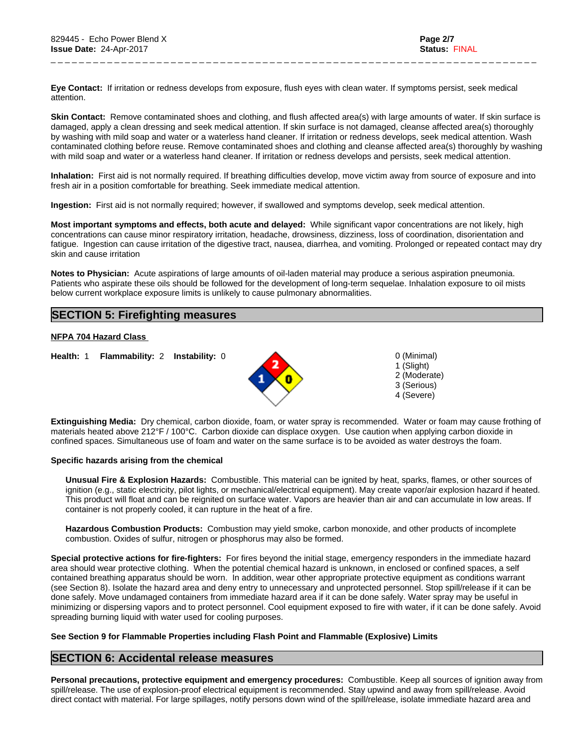**Eye Contact:** Ifirritation or redness develops from exposure, flush eyes with clean water. If symptoms persist, seek medical attention.

**Skin Contact:** Remove contaminated shoes and clothing, and flush affected area(s) with large amounts of water. If skin surface is damaged, apply a clean dressing and seek medical attention. If skin surface is not damaged, cleanse affected area(s) thoroughly by washing with mild soap and water or a waterless hand cleaner. If irritation or redness develops, seek medical attention. Wash contaminated clothing before reuse. Remove contaminated shoes and clothing and cleanse affected area(s) thoroughly by washing with mild soap and water or a waterless hand cleaner. If irritation or redness develops and persists, seek medical attention.

\_ \_ \_ \_ \_ \_ \_ \_ \_ \_ \_ \_ \_ \_ \_ \_ \_ \_ \_ \_ \_ \_ \_ \_ \_ \_ \_ \_ \_ \_ \_ \_ \_ \_ \_ \_ \_ \_ \_ \_ \_ \_ \_ \_ \_ \_ \_ \_ \_ \_ \_ \_ \_ \_ \_ \_ \_ \_ \_ \_ \_ \_ \_ \_ \_ \_ \_ \_ \_

**Inhalation:** First aid is not normally required. If breathing difficulties develop, move victim away from source of exposure and into fresh air in a position comfortable for breathing. Seek immediate medical attention.

**Ingestion:** First aid is not normally required; however, if swallowed and symptoms develop, seek medical attention.

**Most important symptoms and effects, both acute and delayed:** While significant vapor concentrations are not likely, high concentrations can cause minor respiratory irritation, headache, drowsiness, dizziness, loss of coordination, disorientation and fatigue. Ingestion can cause irritation of the digestive tract, nausea, diarrhea, and vomiting. Prolonged or repeated contact may dry skin and cause irritation

**Notes to Physician:**Acute aspirations of large amounts of oil-laden material may produce a serious aspiration pneumonia. Patients who aspirate these oils should be followed for the development of long-term sequelae. Inhalation exposure to oil mists below current workplace exposure limits is unlikely to cause pulmonary abnormalities.

# **SECTION 5: Firefighting measures**

#### **NFPA 704 Hazard Class**

**Health:** 1 **Flammability:** 2 **Instability:** 0 0 (Minimal)



1 (Slight) 2 (Moderate) 3 (Serious) 4 (Severe)

**Extinguishing Media:** Dry chemical, carbon dioxide, foam, or water spray is recommended. Water or foam may cause frothing of materials heated above 212°F / 100°C. Carbon dioxide can displace oxygen. Use caution when applying carbon dioxide in confined spaces. Simultaneous use of foam and water on the same surface is to be avoided as water destroys the foam.

#### **Specific hazards arising from the chemical**

**Unusual Fire & Explosion Hazards:** Combustible. This material can be ignited by heat, sparks, flames, or other sources of ignition (e.g., static electricity, pilot lights, or mechanical/electrical equipment). May create vapor/air explosion hazard if heated. This product will float and can be reignited on surface water. Vapors are heavier than air and can accumulate in low areas. If container is not properly cooled, it can rupture in the heat of a fire.

**Hazardous Combustion Products:** Combustion may yield smoke, carbon monoxide, and other products of incomplete combustion. Oxides of sulfur, nitrogen or phosphorus may also be formed.

**Special protective actions for fire-fighters:** For fires beyond the initial stage, emergency responders in the immediate hazard area should wear protective clothing. When the potential chemical hazard is unknown, in enclosed or confined spaces, a self contained breathing apparatus should be worn. In addition, wear other appropriate protective equipment as conditions warrant (see Section 8). Isolate the hazard area and deny entry to unnecessary and unprotected personnel. Stop spill/release if it can be done safely. Move undamaged containers from immediate hazard area if it can be done safely. Water spray may be useful in minimizing or dispersing vapors and to protect personnel. Cool equipment exposed to fire with water, if it can be done safely. Avoid spreading burning liquid with water used for cooling purposes.

#### **See Section 9 for Flammable Properties including Flash Point and Flammable (Explosive) Limits**

### **SECTION 6: Accidental release measures**

**Personal precautions, protective equipment and emergency procedures:** Combustible. Keep all sources of ignition away from spill/release. The use of explosion-proof electrical equipment is recommended. Stay upwind and away from spill/release. Avoid direct contact with material. For large spillages, notify persons down wind of the spill/release, isolate immediate hazard area and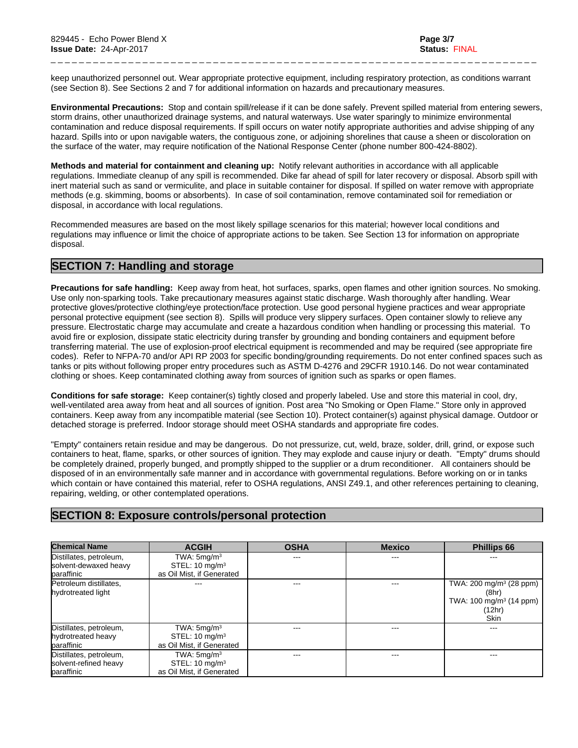keep unauthorized personnel out. Wear appropriate protective equipment, including respiratory protection, as conditions warrant (see Section 8). See Sections 2 and 7 foradditional information on hazards and precautionary measures.

\_ \_ \_ \_ \_ \_ \_ \_ \_ \_ \_ \_ \_ \_ \_ \_ \_ \_ \_ \_ \_ \_ \_ \_ \_ \_ \_ \_ \_ \_ \_ \_ \_ \_ \_ \_ \_ \_ \_ \_ \_ \_ \_ \_ \_ \_ \_ \_ \_ \_ \_ \_ \_ \_ \_ \_ \_ \_ \_ \_ \_ \_ \_ \_ \_ \_ \_ \_ \_

**Environmental Precautions:** Stop and contain spill/release if it can be done safely. Prevent spilled material from entering sewers, storm drains, other unauthorized drainage systems, and natural waterways. Use water sparingly to minimize environmental contamination and reduce disposal requirements. If spill occurs on water notify appropriate authorities and advise shipping of any hazard. Spills into or upon navigable waters, the contiguous zone, or adjoining shorelines that cause a sheen or discoloration on the surface of the water, may require notification of the National Response Center (phone number 800-424-8802).

**Methods and material for containment and cleaning up:** Notify relevant authorities in accordance with all applicable regulations. Immediate cleanup of any spill is recommended. Dike far ahead of spill for later recovery or disposal. Absorb spill with inert material such as sand or vermiculite, and place in suitable container for disposal. If spilled on water remove with appropriate methods (e.g. skimming, booms or absorbents). In case of soil contamination, remove contaminated soil for remediation or disposal, in accordance with local regulations.

Recommended measures are based on the most likely spillage scenarios for this material; however local conditions and regulations may influence or limit the choice of appropriate actions to be taken. See Section 13 for information on appropriate disposal.

# **SECTION 7: Handling and storage**

**Precautions for safe handling:** Keep away from heat, hot surfaces, sparks, open flames and other ignition sources. No smoking. Use only non-sparking tools. Take precautionary measures against static discharge. Wash thoroughly after handling. Wear protective gloves/protective clothing/eye protection/face protection. Use good personal hygiene practices and wear appropriate personal protective equipment (see section 8). Spills will produce very slippery surfaces. Open container slowly to relieve any pressure. Electrostatic charge may accumulate and create a hazardous condition when handling or processing this material. To avoid fire or explosion, dissipate static electricity during transfer by grounding and bonding containers and equipment before transferring material. The use of explosion-proof electrical equipment is recommended and may be required (see appropriate fire codes). Refer to NFPA-70 and/or API RP 2003 for specific bonding/grounding requirements. Do not enterconfined spaces such as tanks or pits without following proper entry procedures such as ASTM D-4276 and 29CFR 1910.146. Do not wear contaminated clothing or shoes. Keep contaminated clothing away from sources of ignition such as sparks or open flames.

**Conditions for safe storage:**Keep container(s) tightly closed and properly labeled. Use and store this material in cool, dry, well-ventilated area away from heat and all sources of ignition. Post area "No Smoking or Open Flame." Store only in approved containers. Keep away from any incompatible material (see Section 10). Protect container(s) against physical damage. Outdoor or detached storage is preferred. Indoor storage should meet OSHA standards and appropriate fire codes.

"Empty" containers retain residue and may be dangerous. Do not pressurize, cut, weld, braze, solder, drill, grind, or expose such containers to heat, flame, sparks, or other sources of ignition. They may explode and cause injury or death."Empty" drums should be completely drained, properly bunged, and promptly shipped to the supplier or a drum reconditioner. All containers should be disposed of in an environmentally safe manner and in accordance with governmental regulations. Before working on or in tanks which contain or have contained this material, refer to OSHA regulations, ANSI Z49.1, and other references pertaining to cleaning, repairing, welding, or other contemplated operations.

# **SECTION 8: Exposure controls/personal protection**

| <b>Chemical Name</b>                                           | <b>ACGIH</b>                                                            | <b>OSHA</b> | <b>Mexico</b> | <b>Phillips 66</b>                                                                                          |
|----------------------------------------------------------------|-------------------------------------------------------------------------|-------------|---------------|-------------------------------------------------------------------------------------------------------------|
| Distillates, petroleum,<br>solvent-dewaxed heavy               | TWA: $5mg/m3$<br>STEL: $10 \text{ mg/m}^3$                              | ---         | ---           |                                                                                                             |
| paraffinic                                                     | as Oil Mist, if Generated                                               |             |               |                                                                                                             |
| Petroleum distillates,<br>hydrotreated light                   |                                                                         |             |               | TWA: $200 \text{ mg/m}^3$ (28 ppm)<br>(8hr)<br>TWA: 100 mg/m <sup>3</sup> (14 ppm)<br>(12hr)<br><b>Skin</b> |
| Distillates, petroleum,<br>hydrotreated heavy<br>paraffinic    | TWA: $5mg/m3$<br>STEL: $10 \text{ mg/m}^3$<br>as Oil Mist, if Generated |             | ---           |                                                                                                             |
| Distillates, petroleum,<br>solvent-refined heavy<br>paraffinic | TWA: $5mg/m3$<br>STEL: $10 \text{ mg/m}^3$<br>as Oil Mist, if Generated | ---         | ---           | ---                                                                                                         |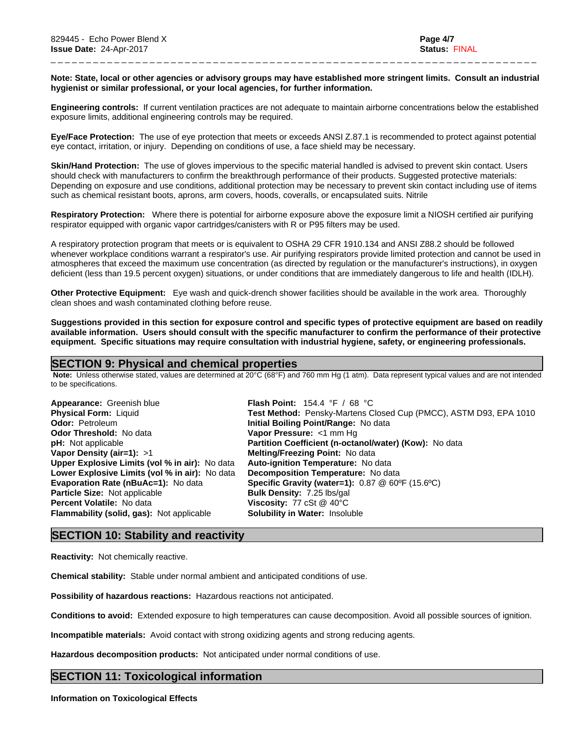#### Note: State, local or other agencies or advisory groups may have established more stringent limits. Consult an industrial **hygienist or similar professional, or your local agencies, for further information.**

\_ \_ \_ \_ \_ \_ \_ \_ \_ \_ \_ \_ \_ \_ \_ \_ \_ \_ \_ \_ \_ \_ \_ \_ \_ \_ \_ \_ \_ \_ \_ \_ \_ \_ \_ \_ \_ \_ \_ \_ \_ \_ \_ \_ \_ \_ \_ \_ \_ \_ \_ \_ \_ \_ \_ \_ \_ \_ \_ \_ \_ \_ \_ \_ \_ \_ \_ \_ \_

**Engineering controls:** Ifcurrent ventilation practices are not adequate to maintain airborne concentrations below the established exposure limits, additional engineering controls may be required.

**Eye/Face Protection:** The use of eye protection that meets or exceeds ANSI Z.87.1 isrecommended to protect against potential eye contact, irritation, or injury. Depending on conditions of use, a face shield may be necessary.

**Skin/Hand Protection:** The use of gloves impervious to the specific material handled is advised to prevent skin contact. Users should check with manufacturers to confirm the breakthrough performance of their products. Suggested protective materials: Depending on exposure and use conditions, additional protection may be necessary to prevent skin contact including use of items such as chemical resistant boots, aprons, arm covers, hoods, coveralls, or encapsulated suits. Nitrile

**Respiratory Protection:** Where there is potential for airborne exposure above the exposure limit a NIOSH certified air purifying respirator equipped with organic vapor cartridges/canisters with R or P95 filters may be used.

A respiratory protection program that meets or is equivalent to OSHA 29 CFR 1910.134 and ANSI Z88.2 should be followed whenever workplace conditions warrant a respirator's use. Air purifying respirators provide limited protection and cannot be used in atmospheres that exceed the maximum use concentration (as directed by regulation or the manufacturer's instructions), in oxygen deficient (less than 19.5 percent oxygen) situations, or under conditions that are immediately dangerous to life and health (IDLH).

**Other Protective Equipment:** Eye wash and quick-drench shower facilities should be available in the work area. Thoroughly clean shoes and wash contaminated clothing before reuse.

Suggestions provided in this section for exposure control and specific types of protective equipment are based on readily available information. Users should consult with the specific manufacturer to confirm the performance of their protective **equipment. Specific situations may require consultation with industrial hygiene, safety, or engineering professionals.**

## **SECTION 9: Physical and chemical properties**

 **Note:** Unless otherwise stated, values are determined at 20°C (68°F) and 760 mm Hg (1 atm). Data represent typical values and are not intended to be specifications.

| Appearance: Greenish blue                             | <b>Flash Point:</b> 154.4 °F / 68 °C                                     |
|-------------------------------------------------------|--------------------------------------------------------------------------|
| <b>Physical Form: Liquid</b>                          | Test Method: Pensky-Martens Closed Cup (PMCC), ASTM D93, EPA 1010        |
| <b>Odor: Petroleum</b>                                | Initial Boiling Point/Range: No data                                     |
| <b>Odor Threshold: No data</b>                        | Vapor Pressure: <1 mm Hg                                                 |
| <b>pH:</b> Not applicable                             | Partition Coefficient (n-octanol/water) (Kow): No data                   |
| Vapor Density (air=1): $>1$                           | <b>Melting/Freezing Point: No data</b>                                   |
| <b>Upper Explosive Limits (vol % in air):</b> No data | Auto-ignition Temperature: No data                                       |
| Lower Explosive Limits (vol % in air): No data        | Decomposition Temperature: No data                                       |
| <b>Evaporation Rate (nBuAc=1): No data</b>            | <b>Specific Gravity (water=1):</b> $0.87 \& 60^{\circ}F (15.6^{\circ}C)$ |
| Particle Size: Not applicable                         | <b>Bulk Density: 7.25 lbs/gal</b>                                        |
| <b>Percent Volatile: No data</b>                      | <b>Viscosity:</b> 77 cSt $@$ 40 $°C$                                     |
| <b>Flammability (solid, gas):</b> Not applicable      | <b>Solubility in Water: Insoluble</b>                                    |
|                                                       |                                                                          |

### **SECTION 10: Stability and reactivity**

**Reactivity:** Not chemically reactive.

**Chemical stability:** Stable under normal ambient and anticipated conditions of use.

**Possibility of hazardous reactions:** Hazardous reactions not anticipated.

**Conditions to avoid:** Extended exposure to high temperatures can cause decomposition. Avoid all possible sources of ignition.

**Incompatible materials:** Avoid contact with strong oxidizing agents and strong reducing agents.

**Hazardous decomposition products:** Not anticipated under normal conditions of use.

# **SECTION 11: Toxicological information**

**Information on Toxicological Effects**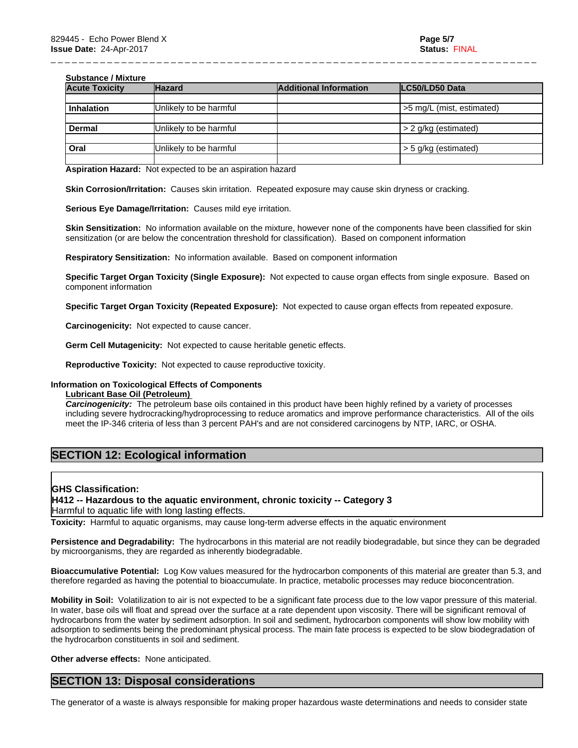#### **Substance / Mixture**

| <b>Acute Toxicity</b>                               | <b>Hazard</b>          | <b>Additional Information</b> | LC50/LD50 Data             |
|-----------------------------------------------------|------------------------|-------------------------------|----------------------------|
|                                                     |                        |                               |                            |
| Inhalation                                          | Unlikely to be harmful |                               | s 5 mg/L (mist, estimated) |
|                                                     |                        |                               |                            |
| Dermal                                              | Unlikely to be harmful |                               | $> 2$ g/kg (estimated)     |
|                                                     |                        |                               |                            |
| $\overline{\overline{\phantom{a}}\phantom{a}}$ Oral | Unlikely to be harmful |                               | $>$ 5 g/kg (estimated)     |
|                                                     |                        |                               |                            |

\_ \_ \_ \_ \_ \_ \_ \_ \_ \_ \_ \_ \_ \_ \_ \_ \_ \_ \_ \_ \_ \_ \_ \_ \_ \_ \_ \_ \_ \_ \_ \_ \_ \_ \_ \_ \_ \_ \_ \_ \_ \_ \_ \_ \_ \_ \_ \_ \_ \_ \_ \_ \_ \_ \_ \_ \_ \_ \_ \_ \_ \_ \_ \_ \_ \_ \_ \_ \_

**Aspiration Hazard:** Not expected to be an aspiration hazard

**Skin Corrosion/Irritation:** Causes skin irritation. Repeated exposure may cause skin dryness or cracking.

**Serious Eye Damage/Irritation:** Causes mild eye irritation.

**Skin Sensitization:** No information available on the mixture, however none of the components have been classified for skin sensitization (or are below the concentration threshold for classification). Based on component information

**Respiratory Sensitization:** No information available. Based on componentinformation

**Specific Target Organ Toxicity (Single Exposure):** Not expected to cause organ effects from single exposure. Based on component information

**Specific Target Organ Toxicity (Repeated Exposure):** Not expected to cause organ effects from repeated exposure.

**Carcinogenicity:** Not expected to cause cancer.

**Germ Cell Mutagenicity:** Not expected to cause heritable genetic effects.

**Reproductive Toxicity:** Not expected to cause reproductive toxicity.

### **Information on Toxicological Effects of Components**

#### **Lubricant Base Oil (Petroleum)**

*Carcinogenicity:* The petroleum base oils contained in this product have been highly refined by a variety of processes including severe hydrocracking/hydroprocessing to reduce aromatics and improve performance characteristics. All of the oils meet the IP-346 criteria of less than 3 percent PAH's and are not considered carcinogens by NTP, IARC, or OSHA.

# **SECTION 12: Ecological information**

#### **GHS Classification:**

# **H412 -- Hazardous to the aquatic environment, chronic toxicity -- Category 3**

Harmful to aquatic life with long lasting effects.

**Toxicity:** Harmful to aquatic organisms, may cause long-term adverse effects in the aquatic environment

**Persistence and Degradability:** The hydrocarbons in this material are not readily biodegradable, but since they can be degraded by microorganisms, they are regarded as inherently biodegradable.

**Bioaccumulative Potential:** Log Kow values measured for the hydrocarbon components of this material are greater than 5.3, and therefore regarded as having the potential to bioaccumulate. In practice, metabolic processes may reduce bioconcentration.

**Mobility in Soil:** Volatilization to air is not expected to be a significant fate process due to the low vapor pressure of this material. In water, base oils will float and spread over the surface at a rate dependent upon viscosity. There will be significant removal of hydrocarbons from the water by sediment adsorption. In soil and sediment, hydrocarbon components will show low mobility with adsorption to sediments being the predominant physical process. The main fate process is expected to be slow biodegradation of the hydrocarbon constituents in soil and sediment.

**Other adverse effects:** None anticipated.

# **SECTION 13: Disposal considerations**

The generator of a waste is always responsible for making proper hazardous waste determinations and needs to consider state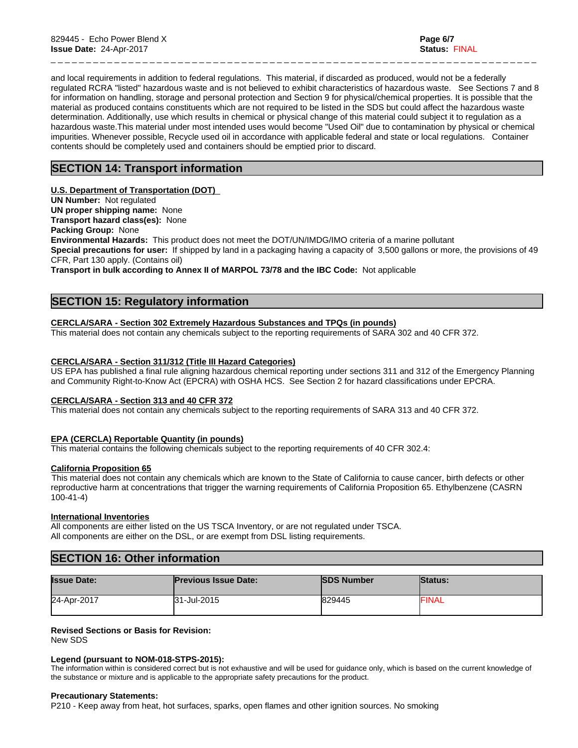and local requirements in addition to federal regulations. This material, if discarded as produced, would not be a federally regulated RCRA "listed" hazardous waste and is not believed to exhibit characteristics of hazardous waste. See Sections 7 and 8 for information on handling, storage and personal protection and Section 9 for physical/chemical properties. It is possible that the material as produced contains constituents which are not required to be listed in the SDS but could affect the hazardous waste determination. Additionally, use which results in chemical or physical change of this material could subject it to regulation as a hazardous waste.This material under most intended uses would become "Used Oil" due to contamination by physical or chemical impurities. Whenever possible, Recycle used oil in accordance with applicable federal and state or local regulations. Container contents should be completely used and containers should be emptied prior to discard.

\_ \_ \_ \_ \_ \_ \_ \_ \_ \_ \_ \_ \_ \_ \_ \_ \_ \_ \_ \_ \_ \_ \_ \_ \_ \_ \_ \_ \_ \_ \_ \_ \_ \_ \_ \_ \_ \_ \_ \_ \_ \_ \_ \_ \_ \_ \_ \_ \_ \_ \_ \_ \_ \_ \_ \_ \_ \_ \_ \_ \_ \_ \_ \_ \_ \_ \_ \_ \_

# **SECTION 14: Transport information**

#### **U.S. Department of Transportation (DOT)**

**UN Number:** Not regulated

**UN proper shipping name:** None

**Transport hazard class(es):** None

**Packing Group:** None

**Environmental Hazards:** This product does not meet the DOT/UN/IMDG/IMO criteria of a marine pollutant **Special precautions for user:** If shipped by land in a packaging having a capacity of 3,500 gallons or more, the provisions of 49 CFR, Part 130 apply. (Contains oil)

**Transport in bulk according to Annex II of MARPOL 73/78 and the IBC Code:** Not applicable

# **SECTION 15: Regulatory information**

#### **CERCLA/SARA - Section 302 Extremely Hazardous Substances and TPQs (in pounds)**

This material does not contain any chemicals subject to the reporting requirements of SARA 302 and 40 CFR 372.

#### **CERCLA/SARA - Section 311/312 (Title III Hazard Categories)**

US EPA has published a final rule aligning hazardous chemical reporting under sections 311 and 312 of the Emergency Planning and Community Right-to-Know Act (EPCRA) with OSHA HCS. See Section 2 for hazard classifications under EPCRA.

#### **CERCLA/SARA - Section 313 and 40 CFR 372**

This material does not contain any chemicals subject to the reporting requirements of SARA 313 and 40 CFR 372.

#### **EPA (CERCLA) Reportable Quantity (in pounds)**

This material contains the following chemicals subject to the reporting requirements of 40 CFR 302.4:

#### **California Proposition 65**

This material does not contain any chemicals which are known to the State of California to cause cancer, birth defects or other reproductive harm at concentrations that trigger the warning requirements of California Proposition 65. Ethylbenzene (CASRN 100-41-4)

#### **International Inventories**

All components are either listed on the US TSCA Inventory, or are not regulated under TSCA. All components are either on the DSL, or are exempt from DSL listing requirements.

# **SECTION 16: Other information**

| <b>Issue Date:</b> | <b>Previous Issue Date:</b> | <b>SDS Number</b> | <b>Status:</b> |
|--------------------|-----------------------------|-------------------|----------------|
| 24-Apr-2017        | 31-Jul-2015                 | 829445            | FINAL          |

#### **Revised Sections or Basis for Revision:**

New SDS

#### **Legend (pursuant to NOM-018-STPS-2015):**

The information within is considered correct but is not exhaustive and will be used for guidance only, which is based on the current knowledge of the substance or mixture and is applicable to the appropriate safety precautions for the product.

#### **Precautionary Statements:**

P210 - Keep away from heat, hot surfaces, sparks, open flames and other ignition sources. No smoking